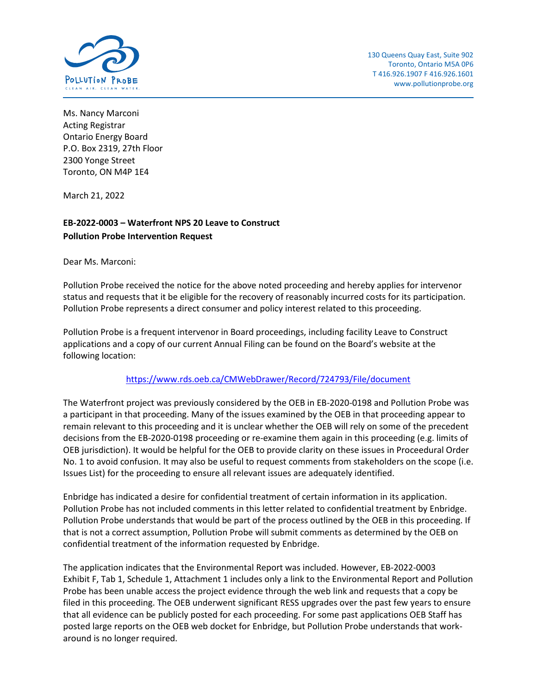

Ms. Nancy Marconi Acting Registrar Ontario Energy Board P.O. Box 2319, 27th Floor 2300 Yonge Street Toronto, ON M4P 1E4

March 21, 2022

# **EB-2022-0003 – Waterfront NPS 20 Leave to Construct Pollution Probe Intervention Request**

Dear Ms. Marconi:

Pollution Probe received the notice for the above noted proceeding and hereby applies for intervenor status and requests that it be eligible for the recovery of reasonably incurred costs for its participation. Pollution Probe represents a direct consumer and policy interest related to this proceeding.

Pollution Probe is a frequent intervenor in Board proceedings, including facility Leave to Construct applications and a copy of our current Annual Filing can be found on the Board's website at the following location:

## <https://www.rds.oeb.ca/CMWebDrawer/Record/724793/File/document>

The Waterfront project was previously considered by the OEB in EB-2020-0198 and Pollution Probe was a participant in that proceeding. Many of the issues examined by the OEB in that proceeding appear to remain relevant to this proceeding and it is unclear whether the OEB will rely on some of the precedent decisions from the EB-2020-0198 proceeding or re-examine them again in this proceeding (e.g. limits of OEB jurisdiction). It would be helpful for the OEB to provide clarity on these issues in Proceedural Order No. 1 to avoid confusion. It may also be useful to request comments from stakeholders on the scope (i.e. Issues List) for the proceeding to ensure all relevant issues are adequately identified.

Enbridge has indicated a desire for confidential treatment of certain information in its application. Pollution Probe has not included comments in this letter related to confidential treatment by Enbridge. Pollution Probe understands that would be part of the process outlined by the OEB in this proceeding. If that is not a correct assumption, Pollution Probe will submit comments as determined by the OEB on confidential treatment of the information requested by Enbridge.

The application indicates that the Environmental Report was included. However, EB-2022-0003 Exhibit F, Tab 1, Schedule 1, Attachment 1 includes only a link to the Environmental Report and Pollution Probe has been unable access the project evidence through the web link and requests that a copy be filed in this proceeding. The OEB underwent significant RESS upgrades over the past few years to ensure that all evidence can be publicly posted for each proceeding. For some past applications OEB Staff has posted large reports on the OEB web docket for Enbridge, but Pollution Probe understands that workaround is no longer required.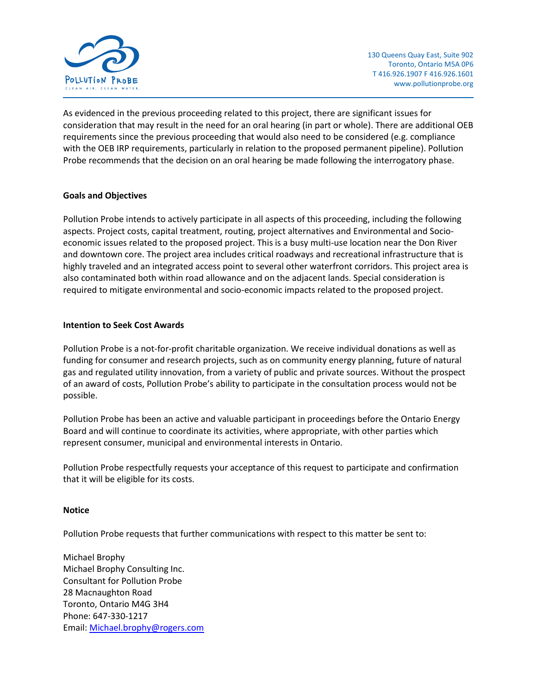

As evidenced in the previous proceeding related to this project, there are significant issues for consideration that may result in the need for an oral hearing (in part or whole). There are additional OEB requirements since the previous proceeding that would also need to be considered (e.g. compliance with the OEB IRP requirements, particularly in relation to the proposed permanent pipeline). Pollution Probe recommends that the decision on an oral hearing be made following the interrogatory phase.

### **Goals and Objectives**

Pollution Probe intends to actively participate in all aspects of this proceeding, including the following aspects. Project costs, capital treatment, routing, project alternatives and Environmental and Socioeconomic issues related to the proposed project. This is a busy multi-use location near the Don River and downtown core. The project area includes critical roadways and recreational infrastructure that is highly traveled and an integrated access point to several other waterfront corridors. This project area is also contaminated both within road allowance and on the adjacent lands. Special consideration is required to mitigate environmental and socio-economic impacts related to the proposed project.

### **Intention to Seek Cost Awards**

Pollution Probe is a not-for-profit charitable organization. We receive individual donations as well as funding for consumer and research projects, such as on community energy planning, future of natural gas and regulated utility innovation, from a variety of public and private sources. Without the prospect of an award of costs, Pollution Probe's ability to participate in the consultation process would not be possible.

Pollution Probe has been an active and valuable participant in proceedings before the Ontario Energy Board and will continue to coordinate its activities, where appropriate, with other parties which represent consumer, municipal and environmental interests in Ontario.

Pollution Probe respectfully requests your acceptance of this request to participate and confirmation that it will be eligible for its costs.

#### **Notice**

Pollution Probe requests that further communications with respect to this matter be sent to:

Michael Brophy Michael Brophy Consulting Inc. Consultant for Pollution Probe 28 Macnaughton Road Toronto, Ontario M4G 3H4 Phone: 647-330-1217 Email: [Michael.brophy@rogers.com](mailto:Michael.brophy@rogers.com)